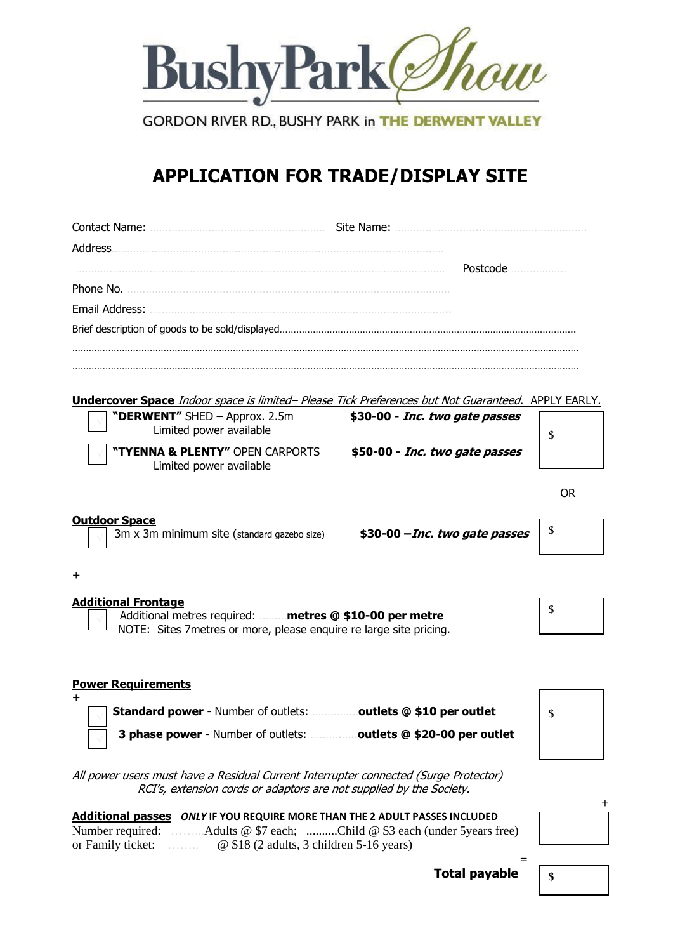

**GORDON RIVER RD., BUSHY PARK in THE DERWENT VALLEY** 

# **APPLICATION FOR TRADE/DISPLAY SITE**

|                                                                                                                                                             | Site Name:                     |     |
|-------------------------------------------------------------------------------------------------------------------------------------------------------------|--------------------------------|-----|
| Address.                                                                                                                                                    |                                |     |
|                                                                                                                                                             | Postcode                       |     |
| Phone No.                                                                                                                                                   |                                |     |
| Email Address:                                                                                                                                              |                                |     |
|                                                                                                                                                             |                                |     |
|                                                                                                                                                             |                                |     |
|                                                                                                                                                             |                                |     |
| <b>Undercover Space</b> Indoor space is limited- Please Tick Preferences but Not Guaranteed. APPLY EARLY.                                                   |                                |     |
| "DERWENT" SHED - Approx. 2.5m<br>Limited power available                                                                                                    | \$30-00 - Inc. two gate passes | \$  |
| "TYENNA & PLENTY" OPEN CARPORTS<br>Limited power available                                                                                                  | \$50-00 - Inc. two gate passes |     |
|                                                                                                                                                             |                                | OR. |
|                                                                                                                                                             |                                |     |
| <b>Outdoor Space</b><br>3m x 3m minimum site (standard gazebo size)                                                                                         | \$30-00 - Inc. two gate passes | \$  |
| +                                                                                                                                                           |                                |     |
| <b>Additional Frontage</b>                                                                                                                                  |                                | \$  |
| Additional metres required:  metres @ \$10-00 per metre<br>NOTE: Sites 7 metres or more, please enquire re large site pricing.                              |                                |     |
|                                                                                                                                                             |                                |     |
| <b>Power Requirements</b>                                                                                                                                   |                                |     |
| <b>Standard power</b> - Number of outlets: outlets @ \$10 per outlet                                                                                        |                                | \$  |
|                                                                                                                                                             |                                |     |
| 3 phase power - Number of outlets: outlets @ \$20-00 per outlet                                                                                             |                                |     |
| All power users must have a Residual Current Interrupter connected (Surge Protector)<br>RCI's, extension cords or adaptors are not supplied by the Society. |                                |     |
|                                                                                                                                                             |                                |     |

|                   |                                                 | <b>Additional passes ONLY IF YOU REQUIRE MORE THAN THE 2 ADULT PASSES INCLUDED</b> |
|-------------------|-------------------------------------------------|------------------------------------------------------------------------------------|
|                   |                                                 | Number required: Adults @ \$7 each; Child @ \$3 each (under 5 years free)          |
| or Family ticket: | $\omega$ \$18 (2 adults, 3 children 5-16 years) |                                                                                    |



**\$**

 **Total payable**

=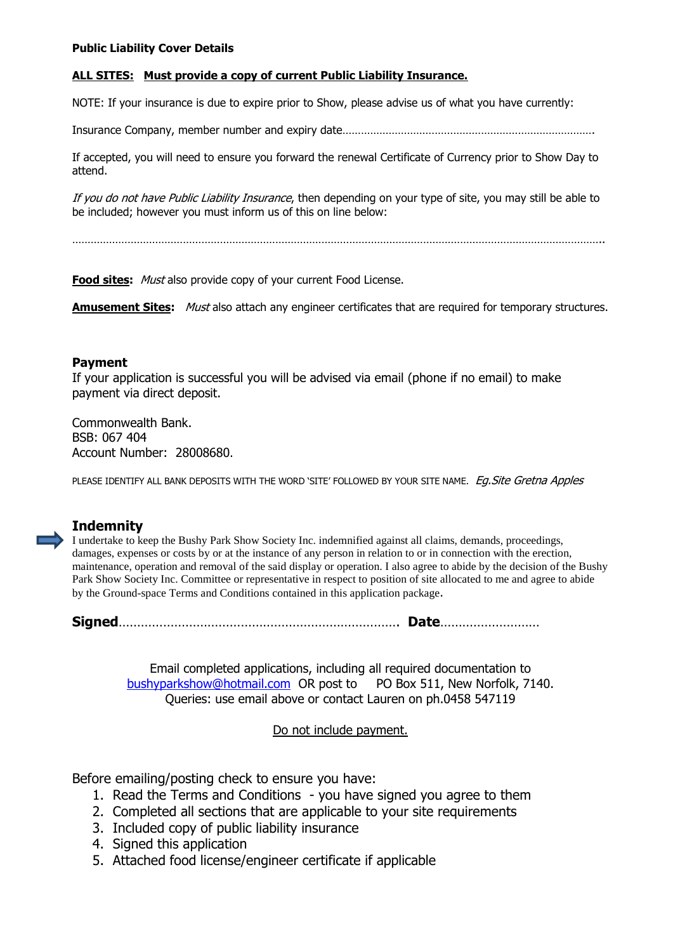#### **Public Liability Cover Details**

#### **ALL SITES: Must provide a copy of current Public Liability Insurance.**

NOTE: If your insurance is due to expire prior to Show, please advise us of what you have currently:

Insurance Company, member number and expiry date……………………………………………………………………….

If accepted, you will need to ensure you forward the renewal Certificate of Currency prior to Show Day to attend.

If you do not have Public Liability Insurance, then depending on your type of site, you may still be able to be included; however you must inform us of this on line below:

………………………………………………………………………………………………………………………………………………………..

**Food sites:** Must also provide copy of your current Food License.

**Amusement Sites:** Must also attach any engineer certificates that are required for temporary structures.

#### **Payment**

If your application is successful you will be advised via email (phone if no email) to make payment via direct deposit.

Commonwealth Bank. BSB: 067 404 Account Number: 28008680.

PLEASE IDENTIFY ALL BANK DEPOSITS WITH THE WORD 'SITE' FOLLOWED BY YOUR SITE NAME. Eq. Site Gretna Apples

## **Indemnity**

I undertake to keep the Bushy Park Show Society Inc. indemnified against all claims, demands, proceedings, damages, expenses or costs by or at the instance of any person in relation to or in connection with the erection, maintenance, operation and removal of the said display or operation. I also agree to abide by the decision of the Bushy Park Show Society Inc. Committee or representative in respect to position of site allocated to me and agree to abide by the Ground-space Terms and Conditions contained in this application package.

**Signed**…………………………………………………………………. **Date**………………………

Email completed applications, including all required documentation to [bushyparkshow@hotmail.com](mailto:bushyparkshow@hotmail.com) OR post to PO Box 511, New Norfolk, 7140. Queries: use email above or contact Lauren on ph.0458 547119

Do not include payment.

Before emailing/posting check to ensure you have:

- 1. Read the Terms and Conditions you have signed you agree to them
- 2. Completed all sections that are applicable to your site requirements
- 3. Included copy of public liability insurance
- 4. Signed this application
- 5. Attached food license/engineer certificate if applicable